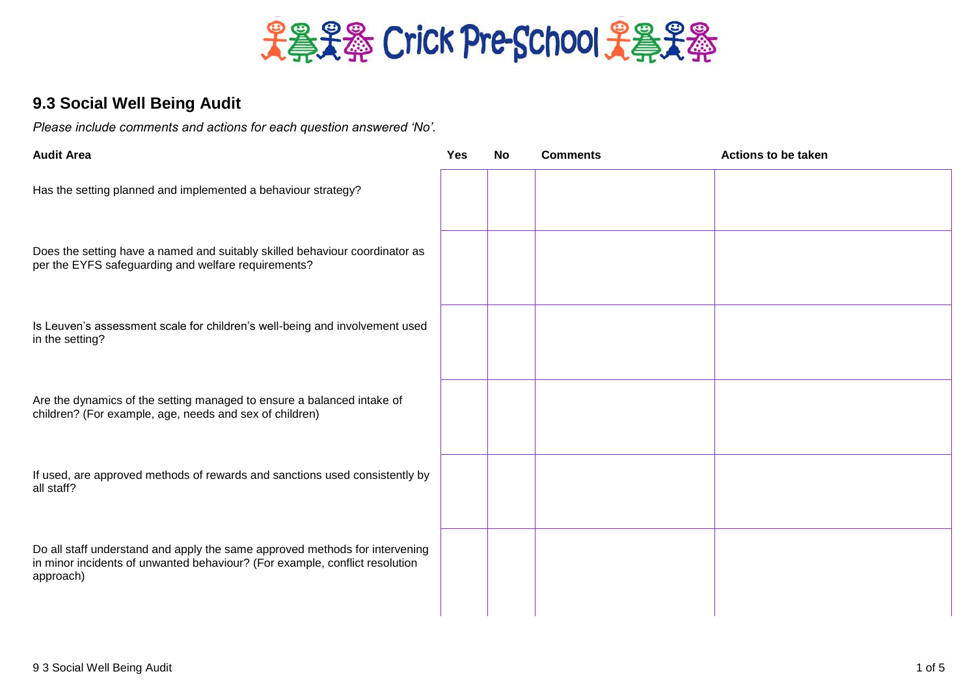

## **9.3 Social Well Being Audit**

*Please include comments and actions for each question answered 'No'.*

| <b>Audit Area</b>                                                                                                                                                       | Yes | <b>No</b> | <b>Comments</b> | <b>Actions to be taken</b> |
|-------------------------------------------------------------------------------------------------------------------------------------------------------------------------|-----|-----------|-----------------|----------------------------|
| Has the setting planned and implemented a behaviour strategy?                                                                                                           |     |           |                 |                            |
| Does the setting have a named and suitably skilled behaviour coordinator as<br>per the EYFS safeguarding and welfare requirements?                                      |     |           |                 |                            |
| Is Leuven's assessment scale for children's well-being and involvement used<br>in the setting?                                                                          |     |           |                 |                            |
| Are the dynamics of the setting managed to ensure a balanced intake of<br>children? (For example, age, needs and sex of children)                                       |     |           |                 |                            |
| If used, are approved methods of rewards and sanctions used consistently by<br>all staff?                                                                               |     |           |                 |                            |
| Do all staff understand and apply the same approved methods for intervening<br>in minor incidents of unwanted behaviour? (For example, conflict resolution<br>approach) |     |           |                 |                            |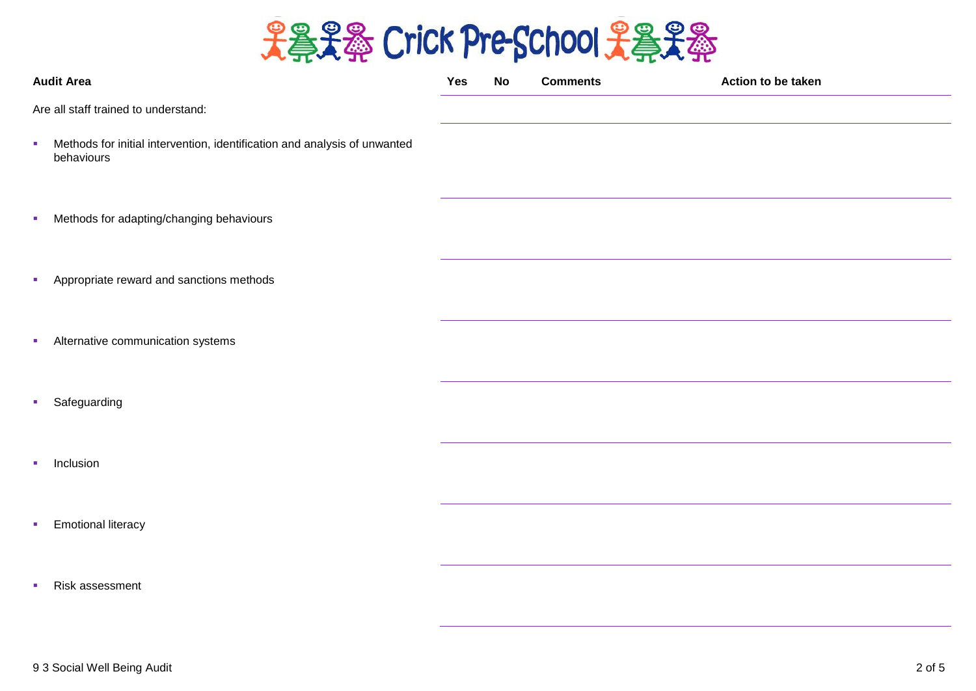

|                                      | <b>Audit Area</b>                                                                       | <b>Yes</b> | <b>No</b> | <b>Comments</b> | Action to be taken |  |
|--------------------------------------|-----------------------------------------------------------------------------------------|------------|-----------|-----------------|--------------------|--|
| Are all staff trained to understand: |                                                                                         |            |           |                 |                    |  |
| a.                                   | Methods for initial intervention, identification and analysis of unwanted<br>behaviours |            |           |                 |                    |  |
| ш                                    | Methods for adapting/changing behaviours                                                |            |           |                 |                    |  |
| ш                                    | Appropriate reward and sanctions methods                                                |            |           |                 |                    |  |
| ш                                    | Alternative communication systems                                                       |            |           |                 |                    |  |
| ٠                                    | Safeguarding                                                                            |            |           |                 |                    |  |
| a.                                   | Inclusion                                                                               |            |           |                 |                    |  |
| u,                                   | <b>Emotional literacy</b>                                                               |            |           |                 |                    |  |
|                                      | Risk assessment                                                                         |            |           |                 |                    |  |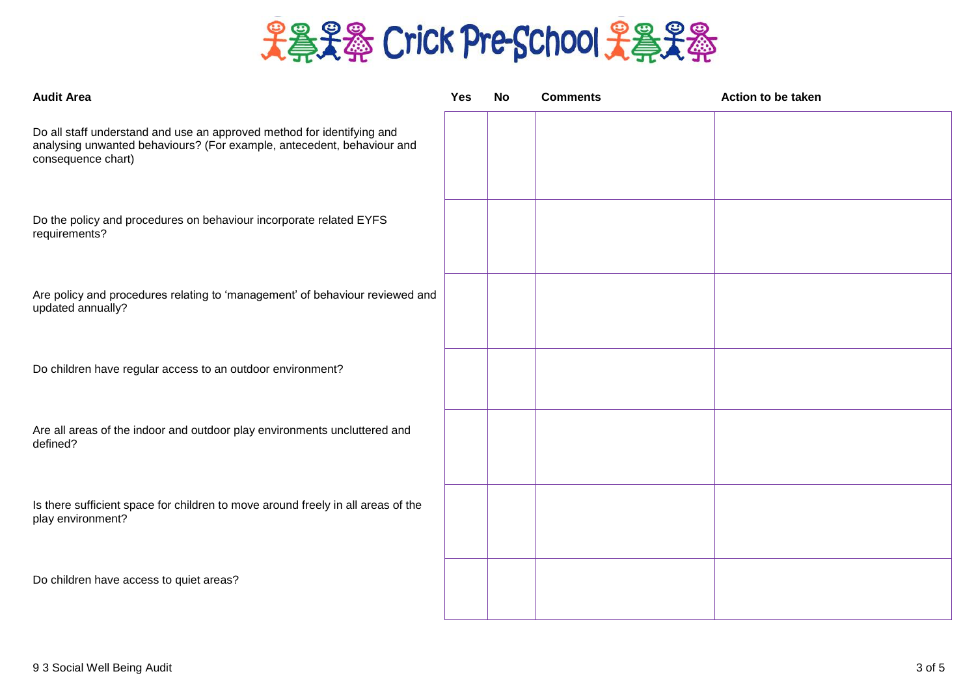

| <b>Audit Area</b>                                                                                                                                                      | Yes | No | <b>Comments</b> | Action to be taken |
|------------------------------------------------------------------------------------------------------------------------------------------------------------------------|-----|----|-----------------|--------------------|
| Do all staff understand and use an approved method for identifying and<br>analysing unwanted behaviours? (For example, antecedent, behaviour and<br>consequence chart) |     |    |                 |                    |
| Do the policy and procedures on behaviour incorporate related EYFS<br>requirements?                                                                                    |     |    |                 |                    |
| Are policy and procedures relating to 'management' of behaviour reviewed and<br>updated annually?                                                                      |     |    |                 |                    |
| Do children have regular access to an outdoor environment?                                                                                                             |     |    |                 |                    |
| Are all areas of the indoor and outdoor play environments uncluttered and<br>defined?                                                                                  |     |    |                 |                    |
| Is there sufficient space for children to move around freely in all areas of the<br>play environment?                                                                  |     |    |                 |                    |
| Do children have access to quiet areas?                                                                                                                                |     |    |                 |                    |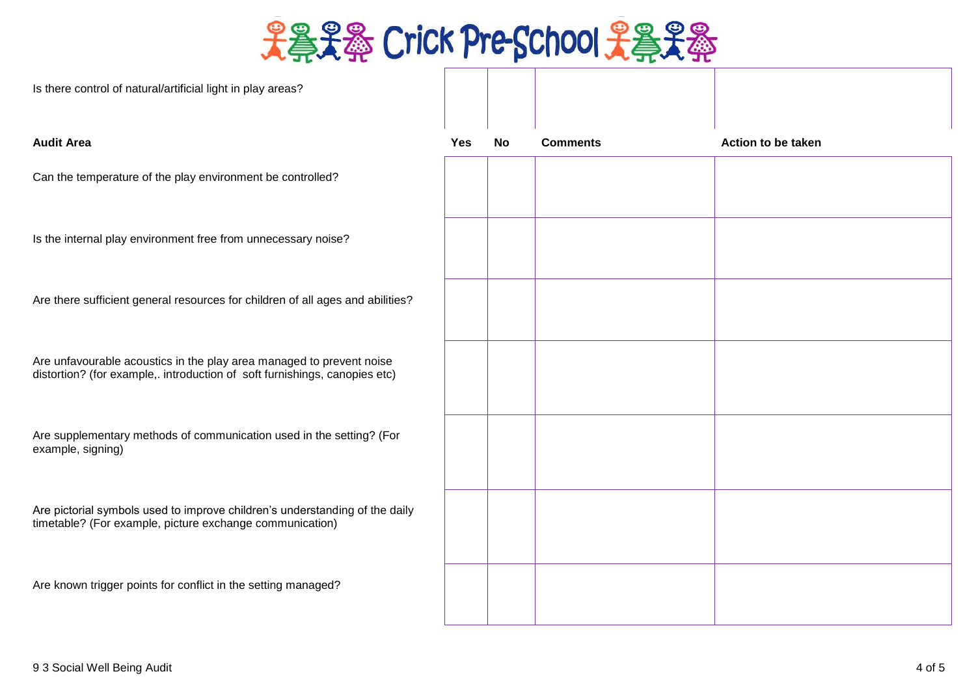

## Is there control of natural/artificial light in play areas?

| <b>Audit Area</b>                                                                                                                                  | Yes | No | <b>Comments</b> | Action to be taken |
|----------------------------------------------------------------------------------------------------------------------------------------------------|-----|----|-----------------|--------------------|
| Can the temperature of the play environment be controlled?                                                                                         |     |    |                 |                    |
| Is the internal play environment free from unnecessary noise?                                                                                      |     |    |                 |                    |
| Are there sufficient general resources for children of all ages and abilities?                                                                     |     |    |                 |                    |
| Are unfavourable acoustics in the play area managed to prevent noise<br>distortion? (for example,. introduction of soft furnishings, canopies etc) |     |    |                 |                    |
| Are supplementary methods of communication used in the setting? (For<br>example, signing)                                                          |     |    |                 |                    |
| Are pictorial symbols used to improve children's understanding of the daily<br>timetable? (For example, picture exchange communication)            |     |    |                 |                    |
| Are known trigger points for conflict in the setting managed?                                                                                      |     |    |                 |                    |